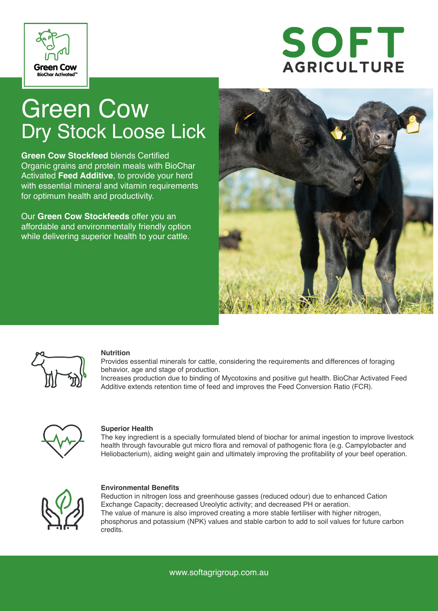

# SOFT **AGRICULTURE**

## Green Cow Dry Stock Loose Lick

**Green Cow Stockfeed** blends Certified Organic grains and protein meals with BioChar Activated **Feed Additive**, to provide your herd with essential mineral and vitamin requirements for optimum health and productivity.

Our **Green Cow Stockfeeds** offer you an affordable and environmentally friendly option while delivering superior health to your cattle.





#### **Nutrition**

Provides essential minerals for cattle, considering the requirements and differences of foraging behavior, age and stage of production.

Increases production due to binding of Mycotoxins and positive gut health. BioChar Activated Feed Additive extends retention time of feed and improves the Feed Conversion Ratio (FCR).



#### **Superior Health**

The key ingredient is a specially formulated blend of biochar for animal ingestion to improve livestock health through favourable gut micro flora and removal of pathogenic flora (e.g. Campylobacter and Heliobacterium), aiding weight gain and ultimately improving the profitability of your beef operation.



#### **Environmental Benefits**

Reduction in nitrogen loss and greenhouse gasses (reduced odour) due to enhanced Cation Exchange Capacity; decreased Ureolytic activity; and decreased PH or aeration. The value of manure is also improved creating a more stable fertiliser with higher nitrogen, phosphorus and potassium (NPK) values and stable carbon to add to soil values for future carbon credits.